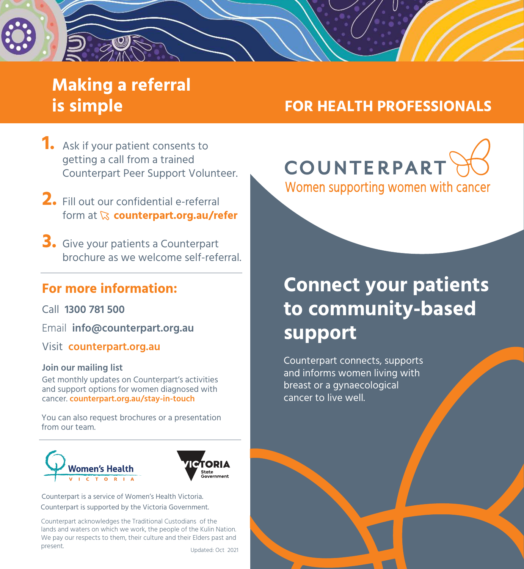## **Making a referral is simple**

### **FOR HEALTH PROFESSIONALS**

COUNTERPART

- **1.** Ask if your patient consents to getting a call from a trained Counterpart Peer Support Volunteer.
- Fill out our confidential e-referral **2.** form at  $\&$  counterpart.org.au/refer
- **3.** Give your patients a Counterpart brochure as we welcome self-referral.

### **For more information:**

Call **1300 781 500** 

Email **info@counterpart.org.au**

Visit **counterpart.org.au**

#### **Join our mailing list**

Get monthly updates on Counterpart's activities and support options for women diagnosed with cancer. **counterpart.org.au/stay-in-touch**

You can also request brochures or a presentation from our team.





Counterpart is a service of Women's Health Victoria. Counterpart is supported by the Victoria Government.

Counterpart acknowledges the Traditional Custodians of the lands and waters on which we work, the people of the Kulin Nation. We pay our respects to them, their culture and their Elders past and present.

Updated: Oct 2021

Women supporting women with cancer

# **Connect your patients to community-based support**

Counterpart connects, supports and informs women living with breast or a gynaecological cancer to live well.